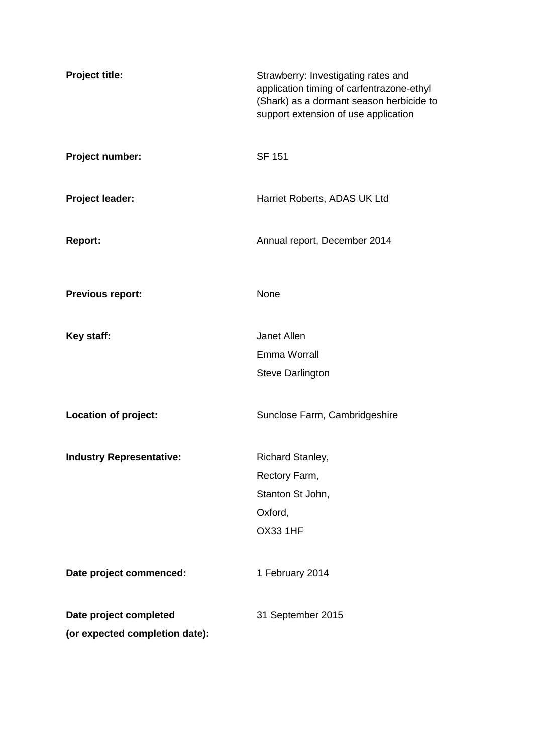| Project title:                  | Strawberry: Investigating rates and<br>application timing of carfentrazone-ethyl<br>(Shark) as a dormant season herbicide to<br>support extension of use application |
|---------------------------------|----------------------------------------------------------------------------------------------------------------------------------------------------------------------|
| Project number:                 | <b>SF 151</b>                                                                                                                                                        |
| Project leader:                 | Harriet Roberts, ADAS UK Ltd                                                                                                                                         |
| <b>Report:</b>                  | Annual report, December 2014                                                                                                                                         |
| <b>Previous report:</b>         | None                                                                                                                                                                 |
| Key staff:                      | Janet Allen                                                                                                                                                          |
|                                 | Emma Worrall                                                                                                                                                         |
|                                 | <b>Steve Darlington</b>                                                                                                                                              |
| Location of project:            | Sunclose Farm, Cambridgeshire                                                                                                                                        |
| <b>Industry Representative:</b> | Richard Stanley,                                                                                                                                                     |
|                                 | Rectory Farm,                                                                                                                                                        |
|                                 | Stanton St John,                                                                                                                                                     |
|                                 | Oxford,                                                                                                                                                              |
|                                 | <b>OX33 1HF</b>                                                                                                                                                      |
| Date project commenced:         | 1 February 2014                                                                                                                                                      |
| Date project completed          | 31 September 2015                                                                                                                                                    |
| (or expected completion date):  |                                                                                                                                                                      |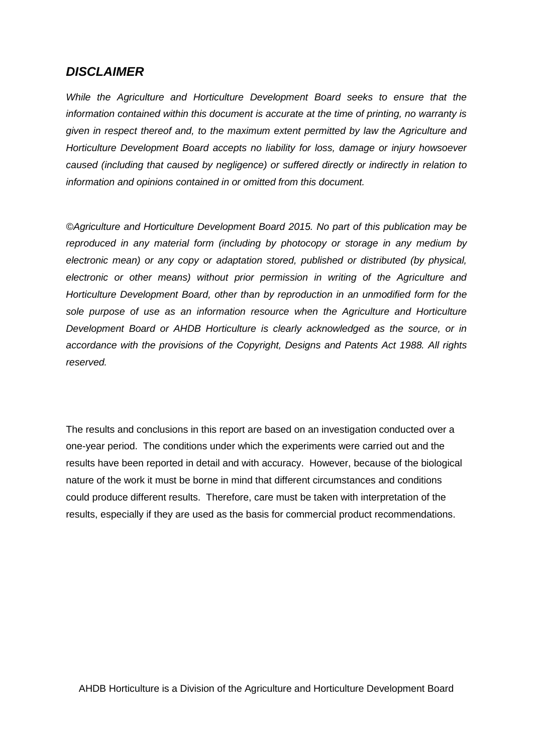## *DISCLAIMER*

*While the Agriculture and Horticulture Development Board seeks to ensure that the information contained within this document is accurate at the time of printing, no warranty is given in respect thereof and, to the maximum extent permitted by law the Agriculture and Horticulture Development Board accepts no liability for loss, damage or injury howsoever caused (including that caused by negligence) or suffered directly or indirectly in relation to information and opinions contained in or omitted from this document.*

*©Agriculture and Horticulture Development Board 2015. No part of this publication may be reproduced in any material form (including by photocopy or storage in any medium by electronic mean) or any copy or adaptation stored, published or distributed (by physical, electronic or other means) without prior permission in writing of the Agriculture and Horticulture Development Board, other than by reproduction in an unmodified form for the sole purpose of use as an information resource when the Agriculture and Horticulture Development Board or AHDB Horticulture is clearly acknowledged as the source, or in accordance with the provisions of the Copyright, Designs and Patents Act 1988. All rights reserved.*

The results and conclusions in this report are based on an investigation conducted over a one-year period. The conditions under which the experiments were carried out and the results have been reported in detail and with accuracy. However, because of the biological nature of the work it must be borne in mind that different circumstances and conditions could produce different results. Therefore, care must be taken with interpretation of the results, especially if they are used as the basis for commercial product recommendations.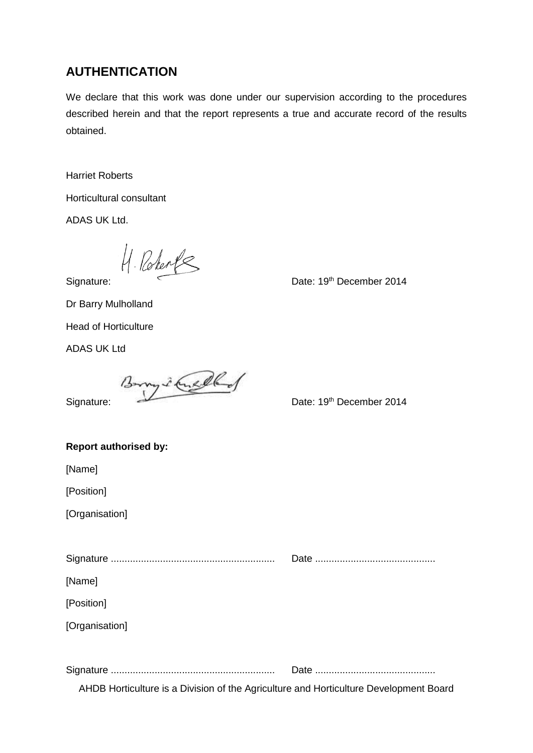## **AUTHENTICATION**

We declare that this work was done under our supervision according to the procedures described herein and that the report represents a true and accurate record of the results obtained.

Harriet Roberts

Horticultural consultant

ADAS UK Ltd.

Signature: Date: 19th December 2014

Dr Barry Mulholland

Head of Horticulture

ADAS UK Ltd

Borry 2 Ans eller State: 19th December 2014

| <b>Report authorised by:</b>                                                          |  |
|---------------------------------------------------------------------------------------|--|
| [Name]                                                                                |  |
| [Position]                                                                            |  |
| [Organisation]                                                                        |  |
|                                                                                       |  |
|                                                                                       |  |
| [Name]                                                                                |  |
| [Position]                                                                            |  |
| [Organisation]                                                                        |  |
|                                                                                       |  |
|                                                                                       |  |
| AHDB Horticulture is a Division of the Agriculture and Horticulture Development Board |  |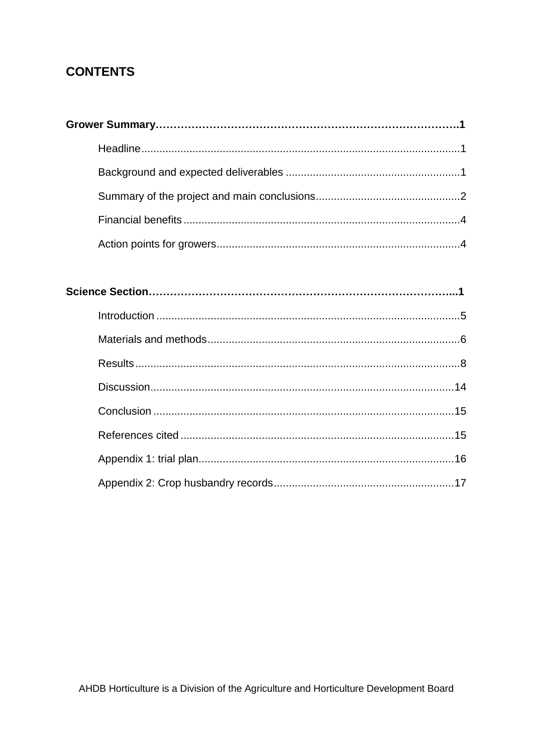## **CONTENTS**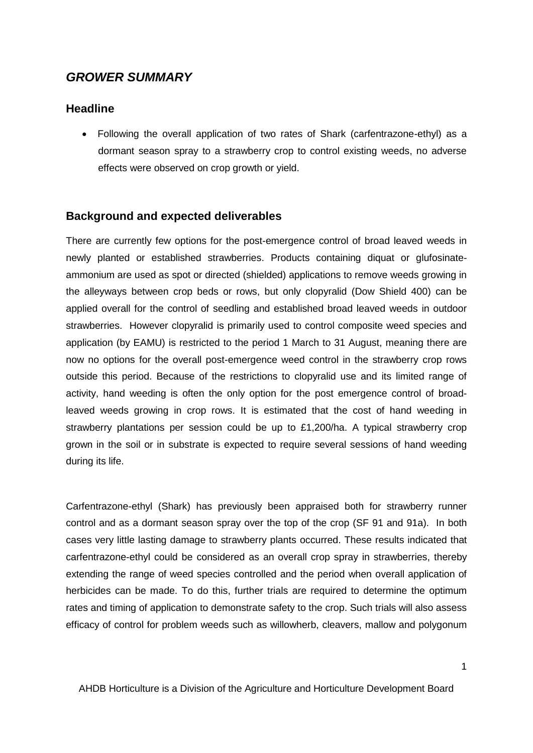## *GROWER SUMMARY*

## <span id="page-4-0"></span>**Headline**

 Following the overall application of two rates of Shark (carfentrazone-ethyl) as a dormant season spray to a strawberry crop to control existing weeds, no adverse effects were observed on crop growth or yield.

### <span id="page-4-1"></span>**Background and expected deliverables**

There are currently few options for the post-emergence control of broad leaved weeds in newly planted or established strawberries. Products containing diquat or glufosinateammonium are used as spot or directed (shielded) applications to remove weeds growing in the alleyways between crop beds or rows, but only clopyralid (Dow Shield 400) can be applied overall for the control of seedling and established broad leaved weeds in outdoor strawberries. However clopyralid is primarily used to control composite weed species and application (by EAMU) is restricted to the period 1 March to 31 August, meaning there are now no options for the overall post-emergence weed control in the strawberry crop rows outside this period. Because of the restrictions to clopyralid use and its limited range of activity, hand weeding is often the only option for the post emergence control of broadleaved weeds growing in crop rows. It is estimated that the cost of hand weeding in strawberry plantations per session could be up to £1,200/ha. A typical strawberry crop grown in the soil or in substrate is expected to require several sessions of hand weeding during its life.

Carfentrazone-ethyl (Shark) has previously been appraised both for strawberry runner control and as a dormant season spray over the top of the crop (SF 91 and 91a). In both cases very little lasting damage to strawberry plants occurred. These results indicated that carfentrazone-ethyl could be considered as an overall crop spray in strawberries, thereby extending the range of weed species controlled and the period when overall application of herbicides can be made. To do this, further trials are required to determine the optimum rates and timing of application to demonstrate safety to the crop. Such trials will also assess efficacy of control for problem weeds such as willowherb, cleavers, mallow and polygonum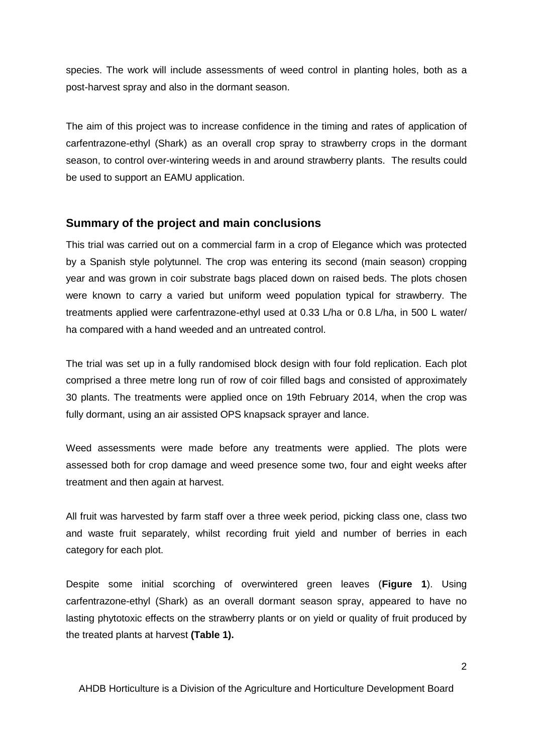species. The work will include assessments of weed control in planting holes, both as a post-harvest spray and also in the dormant season.

The aim of this project was to increase confidence in the timing and rates of application of carfentrazone-ethyl (Shark) as an overall crop spray to strawberry crops in the dormant season, to control over-wintering weeds in and around strawberry plants. The results could be used to support an EAMU application.

#### <span id="page-5-0"></span>**Summary of the project and main conclusions**

This trial was carried out on a commercial farm in a crop of Elegance which was protected by a Spanish style polytunnel. The crop was entering its second (main season) cropping year and was grown in coir substrate bags placed down on raised beds. The plots chosen were known to carry a varied but uniform weed population typical for strawberry. The treatments applied were carfentrazone-ethyl used at 0.33 L/ha or 0.8 L/ha, in 500 L water/ ha compared with a hand weeded and an untreated control.

The trial was set up in a fully randomised block design with four fold replication. Each plot comprised a three metre long run of row of coir filled bags and consisted of approximately 30 plants. The treatments were applied once on 19th February 2014, when the crop was fully dormant, using an air assisted OPS knapsack sprayer and lance.

Weed assessments were made before any treatments were applied. The plots were assessed both for crop damage and weed presence some two, four and eight weeks after treatment and then again at harvest.

All fruit was harvested by farm staff over a three week period, picking class one, class two and waste fruit separately, whilst recording fruit yield and number of berries in each category for each plot.

Despite some initial scorching of overwintered green leaves (**Figure 1**). Using carfentrazone-ethyl (Shark) as an overall dormant season spray, appeared to have no lasting phytotoxic effects on the strawberry plants or on yield or quality of fruit produced by the treated plants at harvest **(Table 1).**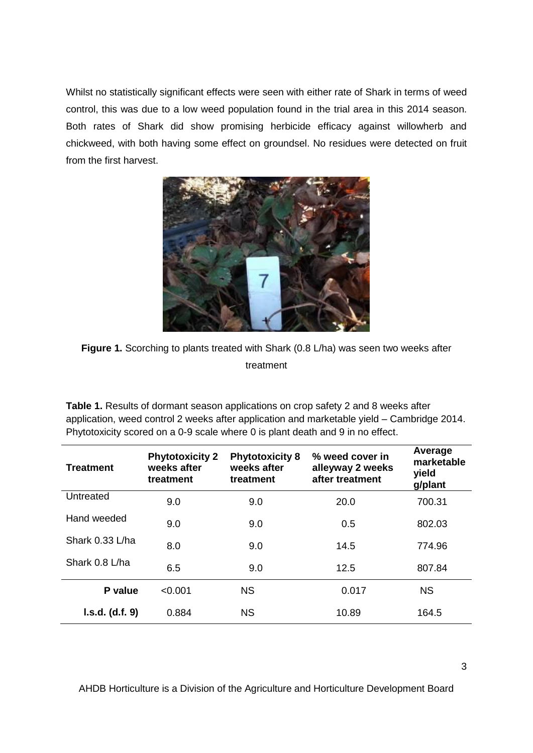Whilst no statistically significant effects were seen with either rate of Shark in terms of weed control, this was due to a low weed population found in the trial area in this 2014 season. Both rates of Shark did show promising herbicide efficacy against willowherb and chickweed, with both having some effect on groundsel. No residues were detected on fruit from the first harvest.



**Figure 1.** Scorching to plants treated with Shark (0.8 L/ha) was seen two weeks after treatment

**Table 1.** Results of dormant season applications on crop safety 2 and 8 weeks after application, weed control 2 weeks after application and marketable yield – Cambridge 2014. Phytotoxicity scored on a 0-9 scale where 0 is plant death and 9 in no effect.

| <b>Treatment</b> | <b>Phytotoxicity 2</b><br>weeks after<br>treatment | <b>Phytotoxicity 8</b><br>weeks after<br>treatment | % weed cover in<br>alleyway 2 weeks<br>after treatment | Average<br>marketable<br>yield<br>g/plant |
|------------------|----------------------------------------------------|----------------------------------------------------|--------------------------------------------------------|-------------------------------------------|
| Untreated        | 9.0                                                | 9.0                                                | 20.0                                                   | 700.31                                    |
| Hand weeded      | 9.0                                                | 9.0                                                | 0.5                                                    | 802.03                                    |
| Shark 0.33 L/ha  | 8.0                                                | 9.0                                                | 14.5                                                   | 774.96                                    |
| Shark 0.8 L/ha   | 6.5                                                | 9.0                                                | 12.5                                                   | 807.84                                    |
| P value          | < 0.001                                            | <b>NS</b>                                          | 0.017                                                  | <b>NS</b>                                 |
| I.s.d. (d.f. 9)  | 0.884                                              | <b>NS</b>                                          | 10.89                                                  | 164.5                                     |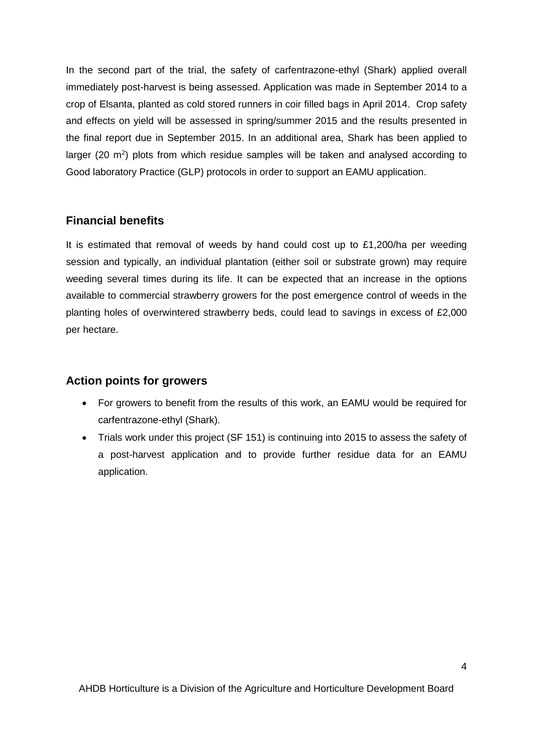In the second part of the trial, the safety of carfentrazone-ethyl (Shark) applied overall immediately post-harvest is being assessed. Application was made in September 2014 to a crop of Elsanta, planted as cold stored runners in coir filled bags in April 2014. Crop safety and effects on yield will be assessed in spring/summer 2015 and the results presented in the final report due in September 2015. In an additional area, Shark has been applied to larger (20  $\text{m}^2$ ) plots from which residue samples will be taken and analysed according to Good laboratory Practice (GLP) protocols in order to support an EAMU application.

### <span id="page-7-0"></span>**Financial benefits**

It is estimated that removal of weeds by hand could cost up to £1,200/ha per weeding session and typically, an individual plantation (either soil or substrate grown) may require weeding several times during its life. It can be expected that an increase in the options available to commercial strawberry growers for the post emergence control of weeds in the planting holes of overwintered strawberry beds, could lead to savings in excess of £2,000 per hectare.

## <span id="page-7-1"></span>**Action points for growers**

- For growers to benefit from the results of this work, an EAMU would be required for carfentrazone-ethyl (Shark).
- Trials work under this project (SF 151) is continuing into 2015 to assess the safety of a post-harvest application and to provide further residue data for an EAMU application.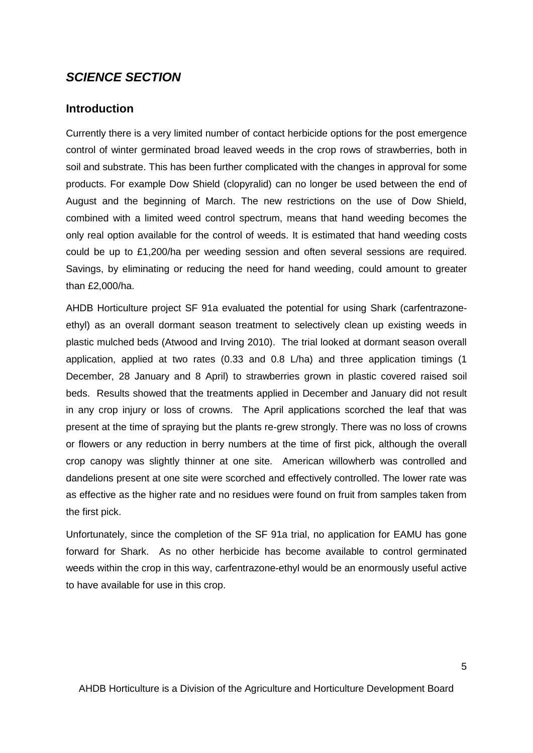## *SCIENCE SECTION*

#### <span id="page-8-0"></span>**Introduction**

Currently there is a very limited number of contact herbicide options for the post emergence control of winter germinated broad leaved weeds in the crop rows of strawberries, both in soil and substrate. This has been further complicated with the changes in approval for some products. For example Dow Shield (clopyralid) can no longer be used between the end of August and the beginning of March. The new restrictions on the use of Dow Shield, combined with a limited weed control spectrum, means that hand weeding becomes the only real option available for the control of weeds. It is estimated that hand weeding costs could be up to £1,200/ha per weeding session and often several sessions are required. Savings, by eliminating or reducing the need for hand weeding, could amount to greater than £2,000/ha.

AHDB Horticulture project SF 91a evaluated the potential for using Shark (carfentrazoneethyl) as an overall dormant season treatment to selectively clean up existing weeds in plastic mulched beds (Atwood and Irving 2010). The trial looked at dormant season overall application, applied at two rates (0.33 and 0.8 L/ha) and three application timings (1 December, 28 January and 8 April) to strawberries grown in plastic covered raised soil beds. Results showed that the treatments applied in December and January did not result in any crop injury or loss of crowns. The April applications scorched the leaf that was present at the time of spraying but the plants re-grew strongly. There was no loss of crowns or flowers or any reduction in berry numbers at the time of first pick, although the overall crop canopy was slightly thinner at one site. American willowherb was controlled and dandelions present at one site were scorched and effectively controlled. The lower rate was as effective as the higher rate and no residues were found on fruit from samples taken from the first pick.

Unfortunately, since the completion of the SF 91a trial, no application for EAMU has gone forward for Shark. As no other herbicide has become available to control germinated weeds within the crop in this way, carfentrazone-ethyl would be an enormously useful active to have available for use in this crop.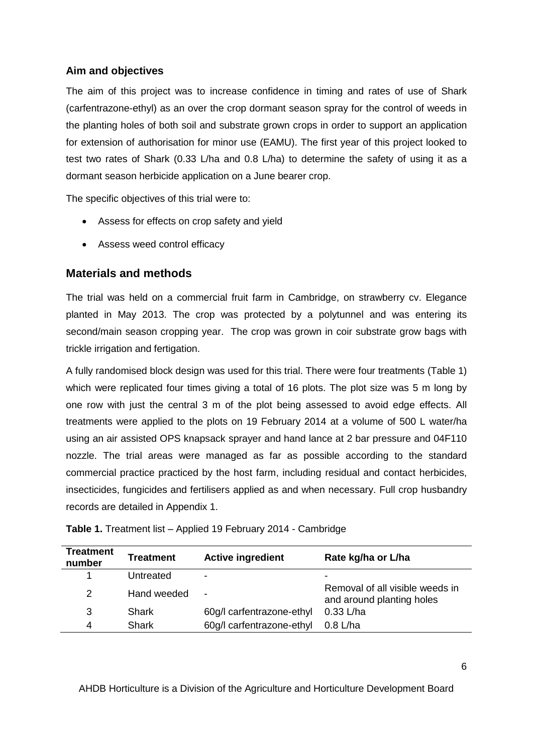## **Aim and objectives**

The aim of this project was to increase confidence in timing and rates of use of Shark (carfentrazone-ethyl) as an over the crop dormant season spray for the control of weeds in the planting holes of both soil and substrate grown crops in order to support an application for extension of authorisation for minor use (EAMU). The first year of this project looked to test two rates of Shark (0.33 L/ha and 0.8 L/ha) to determine the safety of using it as a dormant season herbicide application on a June bearer crop.

The specific objectives of this trial were to:

- Assess for effects on crop safety and yield
- Assess weed control efficacy

## <span id="page-9-0"></span>**Materials and methods**

The trial was held on a commercial fruit farm in Cambridge, on strawberry cv. Elegance planted in May 2013. The crop was protected by a polytunnel and was entering its second/main season cropping year. The crop was grown in coir substrate grow bags with trickle irrigation and fertigation.

A fully randomised block design was used for this trial. There were four treatments (Table 1) which were replicated four times giving a total of 16 plots. The plot size was 5 m long by one row with just the central 3 m of the plot being assessed to avoid edge effects. All treatments were applied to the plots on 19 February 2014 at a volume of 500 L water/ha using an air assisted OPS knapsack sprayer and hand lance at 2 bar pressure and 04F110 nozzle. The trial areas were managed as far as possible according to the standard commercial practice practiced by the host farm, including residual and contact herbicides, insecticides, fungicides and fertilisers applied as and when necessary. Full crop husbandry records are detailed in Appendix 1.

| Treatment<br>number | <b>Treatment</b> | <b>Active ingredient</b>  | Rate kg/ha or L/ha                                           |
|---------------------|------------------|---------------------------|--------------------------------------------------------------|
|                     | Untreated        | ۰                         | ٠                                                            |
| 2                   | Hand weeded      | $\blacksquare$            | Removal of all visible weeds in<br>and around planting holes |
| 3                   | Shark            | 60g/l carfentrazone-ethyl | $0.33$ L/ha                                                  |
| 4                   | Shark            | 60g/l carfentrazone-ethyl | $0.8$ L/ha                                                   |

**Table 1.** Treatment list – Applied 19 February 2014 - Cambridge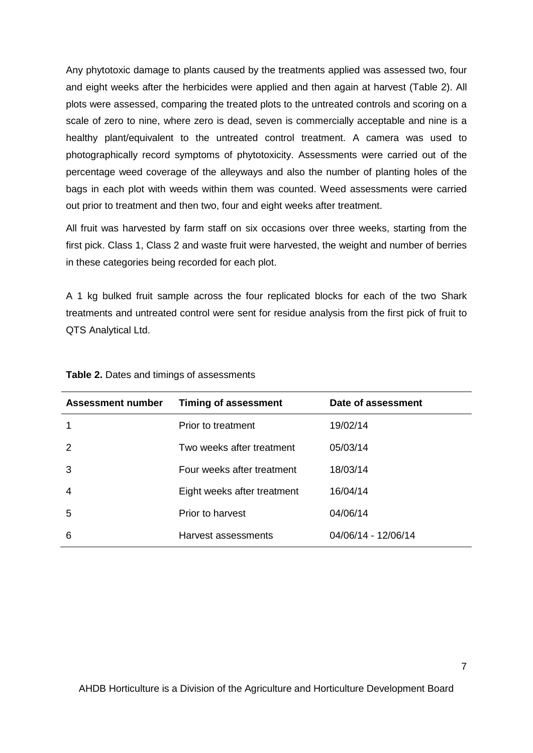Any phytotoxic damage to plants caused by the treatments applied was assessed two, four and eight weeks after the herbicides were applied and then again at harvest (Table 2). All plots were assessed, comparing the treated plots to the untreated controls and scoring on a scale of zero to nine, where zero is dead, seven is commercially acceptable and nine is a healthy plant/equivalent to the untreated control treatment. A camera was used to photographically record symptoms of phytotoxicity. Assessments were carried out of the percentage weed coverage of the alleyways and also the number of planting holes of the bags in each plot with weeds within them was counted. Weed assessments were carried out prior to treatment and then two, four and eight weeks after treatment.

All fruit was harvested by farm staff on six occasions over three weeks, starting from the first pick. Class 1, Class 2 and waste fruit were harvested, the weight and number of berries in these categories being recorded for each plot.

A 1 kg bulked fruit sample across the four replicated blocks for each of the two Shark treatments and untreated control were sent for residue analysis from the first pick of fruit to QTS Analytical Ltd.

| <b>Assessment number</b> | <b>Timing of assessment</b> | Date of assessment  |
|--------------------------|-----------------------------|---------------------|
|                          | Prior to treatment          | 19/02/14            |
|                          | Two weeks after treatment   | 05/03/14            |
| 3                        | Four weeks after treatment  | 18/03/14            |
| 4                        | Eight weeks after treatment | 16/04/14            |
| 5                        | Prior to harvest            | 04/06/14            |
| 6                        | Harvest assessments         | 04/06/14 - 12/06/14 |

|  |  |  |  |  | Table 2. Dates and timings of assessments |
|--|--|--|--|--|-------------------------------------------|
|--|--|--|--|--|-------------------------------------------|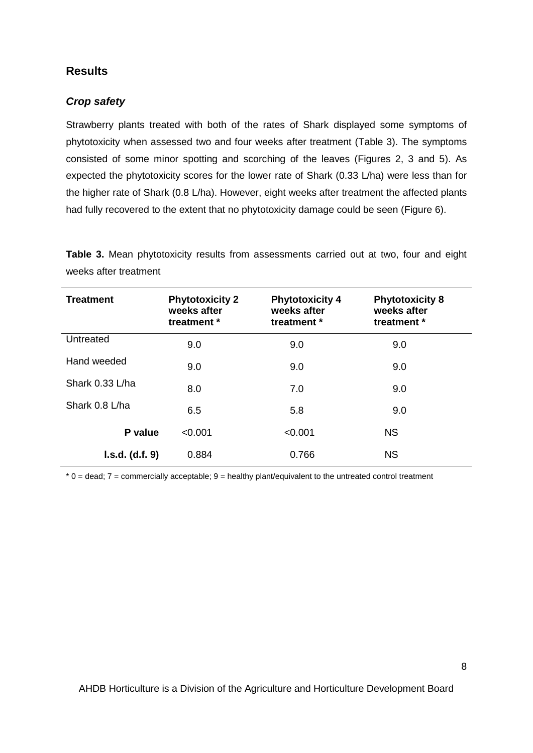## <span id="page-11-0"></span>**Results**

#### *Crop safety*

Strawberry plants treated with both of the rates of Shark displayed some symptoms of phytotoxicity when assessed two and four weeks after treatment (Table 3). The symptoms consisted of some minor spotting and scorching of the leaves (Figures 2, 3 and 5). As expected the phytotoxicity scores for the lower rate of Shark (0.33 L/ha) were less than for the higher rate of Shark (0.8 L/ha). However, eight weeks after treatment the affected plants had fully recovered to the extent that no phytotoxicity damage could be seen (Figure 6).

**Table 3.** Mean phytotoxicity results from assessments carried out at two, four and eight weeks after treatment

| <b>Treatment</b> | <b>Phytotoxicity 2</b><br>weeks after<br>treatment * | <b>Phytotoxicity 4</b><br>weeks after<br>treatment * | <b>Phytotoxicity 8</b><br>weeks after<br>treatment * |  |
|------------------|------------------------------------------------------|------------------------------------------------------|------------------------------------------------------|--|
| Untreated        | 9.0                                                  | 9.0                                                  | 9.0                                                  |  |
| Hand weeded      | 9.0                                                  | 9.0                                                  | 9.0                                                  |  |
| Shark 0.33 L/ha  | 8.0                                                  | 7.0                                                  | 9.0                                                  |  |
| Shark 0.8 L/ha   | 6.5                                                  | 5.8                                                  | 9.0                                                  |  |
| P value          | < 0.001                                              | < 0.001                                              | <b>NS</b>                                            |  |
| l.s.d. (d.f. 9)  | 0.884                                                | 0.766                                                | <b>NS</b>                                            |  |

 $*$  0 = dead; 7 = commercially acceptable; 9 = healthy plant/equivalent to the untreated control treatment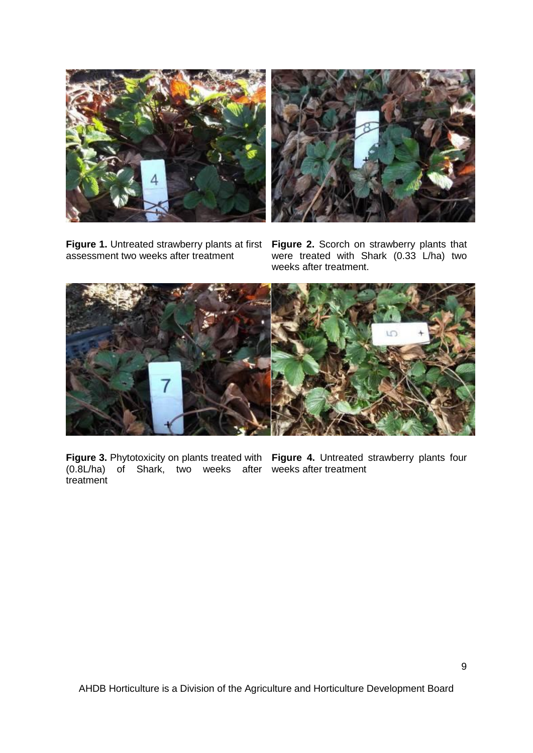





were treated with Shark (0.33 L/ha) two weeks after treatment.



**Figure 3.** Phytotoxicity on plants treated with Figure 4. Untreated strawberry plants four (0.8L/ha) of Shark, two weeks after weeks after treatmenttreatment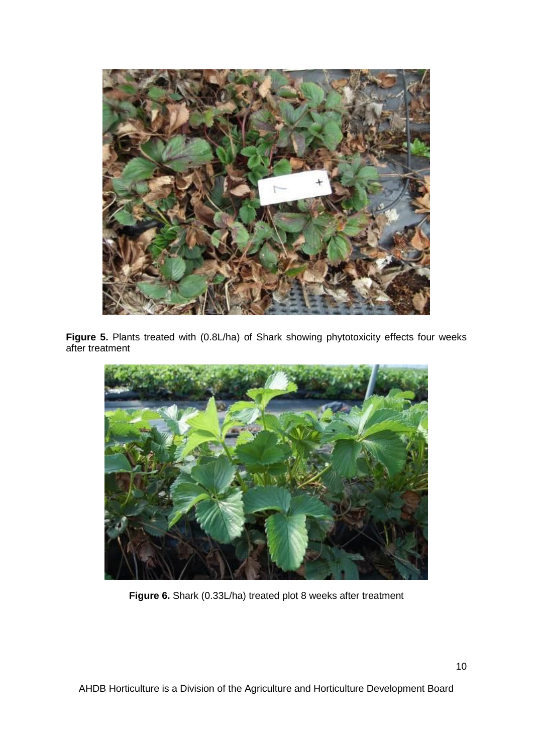

**Figure 5.** Plants treated with (0.8L/ha) of Shark showing phytotoxicity effects four weeks after treatment



**Figure 6.** Shark (0.33L/ha) treated plot 8 weeks after treatment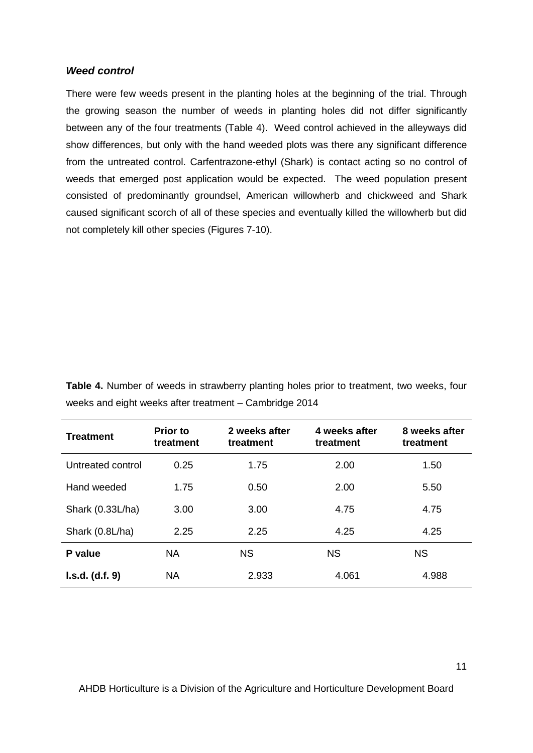#### *Weed control*

There were few weeds present in the planting holes at the beginning of the trial. Through the growing season the number of weeds in planting holes did not differ significantly between any of the four treatments (Table 4). Weed control achieved in the alleyways did show differences, but only with the hand weeded plots was there any significant difference from the untreated control. Carfentrazone-ethyl (Shark) is contact acting so no control of weeds that emerged post application would be expected. The weed population present consisted of predominantly groundsel, American willowherb and chickweed and Shark caused significant scorch of all of these species and eventually killed the willowherb but did not completely kill other species (Figures 7-10).

**Table 4.** Number of weeds in strawberry planting holes prior to treatment, two weeks, four weeks and eight weeks after treatment – Cambridge 2014

| <b>Treatment</b>  | <b>Prior to</b><br>treatment | 2 weeks after<br>treatment | 4 weeks after<br>treatment | 8 weeks after<br>treatment |
|-------------------|------------------------------|----------------------------|----------------------------|----------------------------|
| Untreated control | 0.25                         | 1.75                       | 2.00                       | 1.50                       |
| Hand weeded       | 1.75                         | 0.50                       | 2.00                       | 5.50                       |
| Shark (0.33L/ha)  | 3.00                         | 3.00                       | 4.75                       | 4.75                       |
| Shark (0.8L/ha)   | 2.25                         | 2.25                       | 4.25                       | 4.25                       |
| P value           | <b>NA</b>                    | <b>NS</b>                  | <b>NS</b>                  | <b>NS</b>                  |
| I.s.d. (d.f. 9)   | <b>NA</b>                    | 2.933                      | 4.061                      | 4.988                      |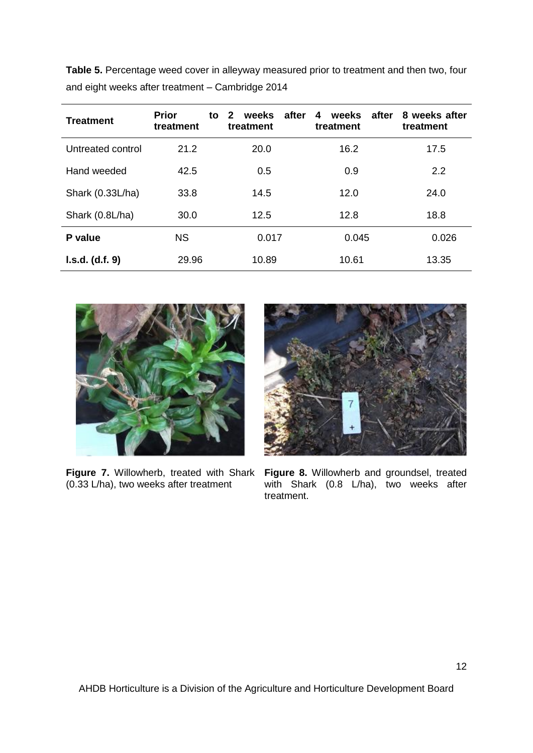**Table 5.** Percentage weed cover in alleyway measured prior to treatment and then two, four and eight weeks after treatment – Cambridge 2014

| <b>Treatment</b>  | <b>Prior</b><br>treatment | after<br>$\mathbf{2}$<br>weeks<br>to<br>treatment | after<br>weeks<br>4<br>treatment | 8 weeks after<br>treatment |
|-------------------|---------------------------|---------------------------------------------------|----------------------------------|----------------------------|
| Untreated control | 21.2                      | 20.0                                              | 16.2                             | 17.5                       |
| Hand weeded       | 42.5                      | 0.5                                               | 0.9                              | 2.2                        |
| Shark (0.33L/ha)  | 33.8                      | 14.5                                              | 12.0                             | 24.0                       |
| Shark (0.8L/ha)   | 30.0                      | 12.5                                              | 12.8                             | 18.8                       |
| P value           | <b>NS</b>                 | 0.017                                             | 0.045                            | 0.026                      |
| I.s.d. (d.f. 9)   | 29.96                     | 10.89                                             | 10.61                            | 13.35                      |



(0.33 L/ha), two weeks after treatment



Figure 7. Willowherb, treated with Shark Figure 8. Willowherb and groundsel, treated with Shark (0.8 L/ha), two weeks after treatment.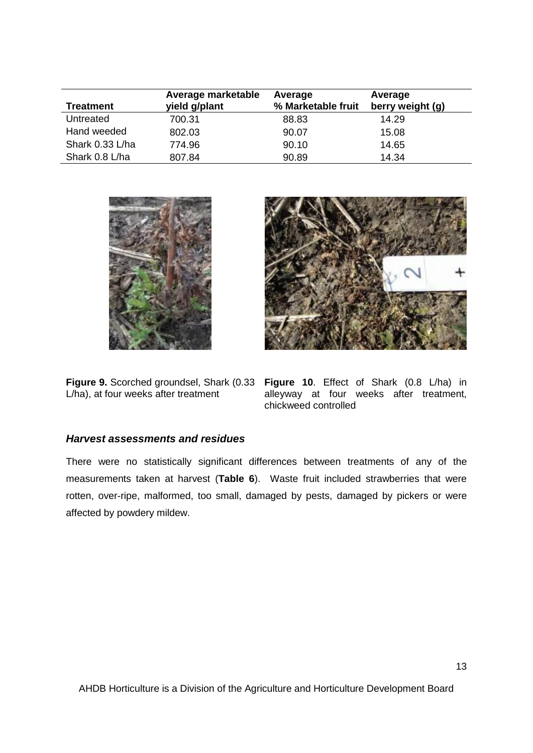| <b>Treatment</b> | Average marketable<br>yield g/plant | Average<br>% Marketable fruit | Average<br>berry weight (g) |
|------------------|-------------------------------------|-------------------------------|-----------------------------|
| Untreated        | 700.31                              | 88.83                         | 14.29                       |
| Hand weeded      | 802.03                              | 90.07                         | 15.08                       |
| Shark 0.33 L/ha  | 774.96                              | 90.10                         | 14.65                       |
| Shark 0.8 L/ha   | 807.84                              | 90.89                         | 14.34                       |



L/ha), at four weeks after treatment



**Figure 9.** Scorched groundsel, Shark (0.33 Figure 10. Effect of Shark (0.8 L/ha) in alleyway at four weeks after treatment, chickweed controlled

## *Harvest assessments and residues*

There were no statistically significant differences between treatments of any of the measurements taken at harvest (**Table 6**). Waste fruit included strawberries that were rotten, over-ripe, malformed, too small, damaged by pests, damaged by pickers or were affected by powdery mildew.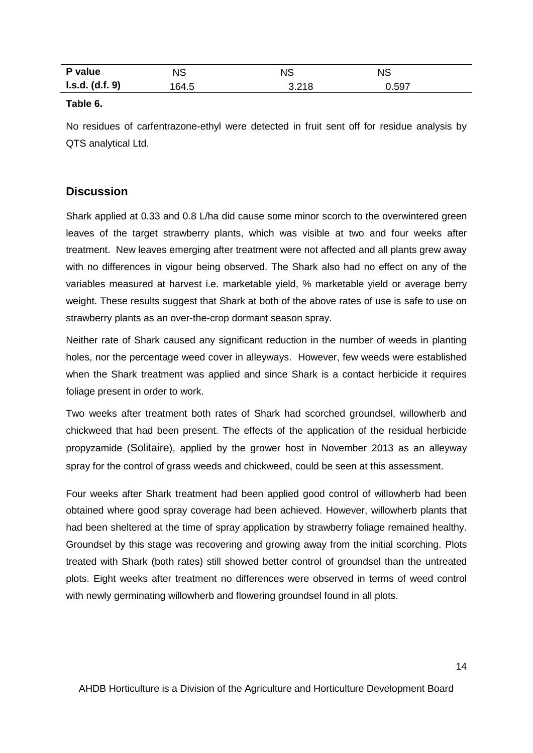| P value         | NS    | <b>NS</b> | <b>NS</b> |
|-----------------|-------|-----------|-----------|
| l.s.d. (d.f. 9) | 164.5 | 3.218     | 0.597     |

#### **Table 6.**

No residues of carfentrazone-ethyl were detected in fruit sent off for residue analysis by QTS analytical Ltd.

## <span id="page-17-0"></span>**Discussion**

Shark applied at 0.33 and 0.8 L/ha did cause some minor scorch to the overwintered green leaves of the target strawberry plants, which was visible at two and four weeks after treatment. New leaves emerging after treatment were not affected and all plants grew away with no differences in vigour being observed. The Shark also had no effect on any of the variables measured at harvest i.e. marketable yield, % marketable yield or average berry weight. These results suggest that Shark at both of the above rates of use is safe to use on strawberry plants as an over-the-crop dormant season spray.

Neither rate of Shark caused any significant reduction in the number of weeds in planting holes, nor the percentage weed cover in alleyways. However, few weeds were established when the Shark treatment was applied and since Shark is a contact herbicide it requires foliage present in order to work.

Two weeks after treatment both rates of Shark had scorched groundsel, willowherb and chickweed that had been present. The effects of the application of the residual herbicide propyzamide (Solitaire), applied by the grower host in November 2013 as an alleyway spray for the control of grass weeds and chickweed, could be seen at this assessment.

Four weeks after Shark treatment had been applied good control of willowherb had been obtained where good spray coverage had been achieved. However, willowherb plants that had been sheltered at the time of spray application by strawberry foliage remained healthy. Groundsel by this stage was recovering and growing away from the initial scorching. Plots treated with Shark (both rates) still showed better control of groundsel than the untreated plots. Eight weeks after treatment no differences were observed in terms of weed control with newly germinating willowherb and flowering groundsel found in all plots.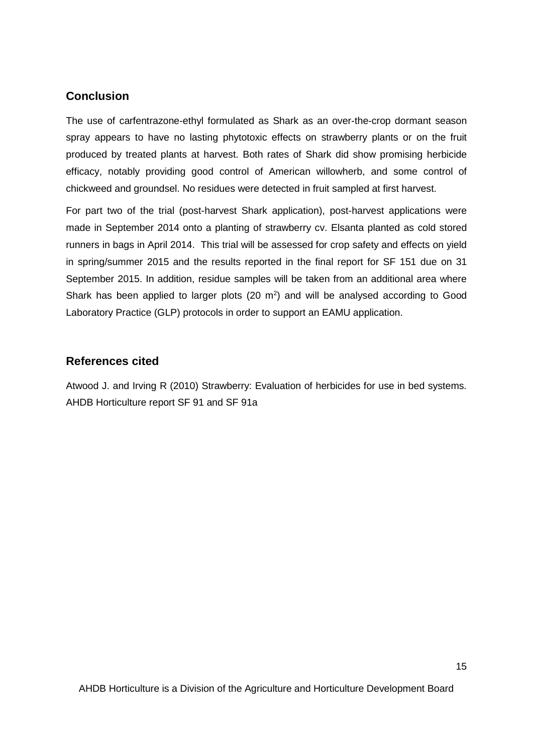## <span id="page-18-0"></span>**Conclusion**

The use of carfentrazone-ethyl formulated as Shark as an over-the-crop dormant season spray appears to have no lasting phytotoxic effects on strawberry plants or on the fruit produced by treated plants at harvest. Both rates of Shark did show promising herbicide efficacy, notably providing good control of American willowherb, and some control of chickweed and groundsel. No residues were detected in fruit sampled at first harvest.

For part two of the trial (post-harvest Shark application), post-harvest applications were made in September 2014 onto a planting of strawberry cv. Elsanta planted as cold stored runners in bags in April 2014. This trial will be assessed for crop safety and effects on yield in spring/summer 2015 and the results reported in the final report for SF 151 due on 31 September 2015. In addition, residue samples will be taken from an additional area where Shark has been applied to larger plots  $(20 \text{ m}^2)$  and will be analysed according to Good Laboratory Practice (GLP) protocols in order to support an EAMU application.

## <span id="page-18-1"></span>**References cited**

Atwood J. and Irving R (2010) Strawberry: Evaluation of herbicides for use in bed systems. AHDB Horticulture report SF 91 and SF 91a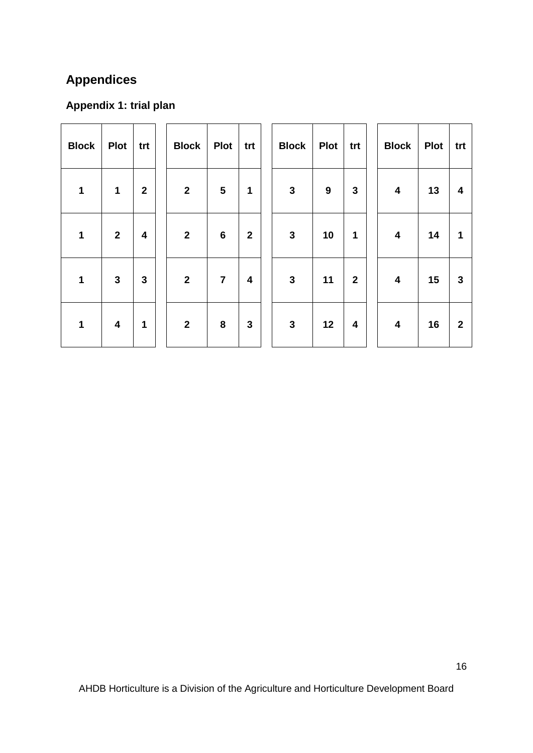# **Appendices**

# <span id="page-19-0"></span>**Appendix 1: trial plan**

<span id="page-19-1"></span>

| <b>Block</b> | <b>Plot</b>             | trt                     | <b>Block</b>   | <b>Plot</b>             | trt         | <b>Block</b> | <b>Plot</b> | trt                     | <b>Block</b>            | <b>Plot</b> | trt          |
|--------------|-------------------------|-------------------------|----------------|-------------------------|-------------|--------------|-------------|-------------------------|-------------------------|-------------|--------------|
| 1            | 1                       | $\overline{\mathbf{2}}$ | $\overline{2}$ | $\overline{\mathbf{5}}$ | $\mathbf 1$ | $\mathbf{3}$ | 9           | 3                       | $\overline{\mathbf{4}}$ | 13          | 4            |
| 1            | $\mathbf{2}$            | $\overline{\mathbf{4}}$ | $\overline{2}$ | $\bf 6$                 | $\mathbf 2$ | $\mathbf{3}$ | 10          | 1                       | $\overline{\mathbf{4}}$ | 14          | 1            |
| 1            | 3                       | $\mathbf{3}$            | $\overline{2}$ | $\overline{\mathbf{7}}$ | 4           | $\mathbf{3}$ | 11          | $\mathbf 2$             | $\overline{\mathbf{4}}$ | 15          | $\mathbf{3}$ |
| 1            | $\overline{\mathbf{4}}$ | 1                       | $\mathbf{2}$   | ${\bf 8}$               | 3           | $\mathbf{3}$ | 12          | $\overline{\mathbf{4}}$ | $\overline{\mathbf{4}}$ | 16          | $\mathbf 2$  |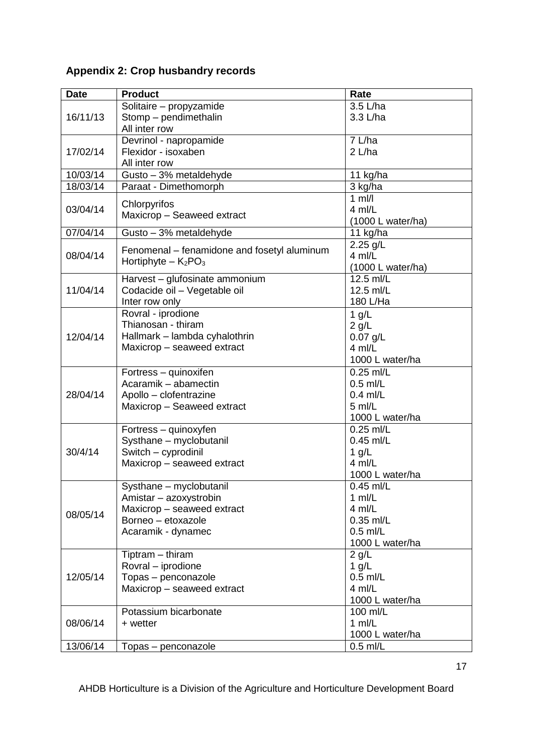# **Appendix 2: Crop husbandry records**

| <b>Date</b> | <b>Product</b>                                    | Rate                |
|-------------|---------------------------------------------------|---------------------|
|             | Solitaire - propyzamide                           | 3.5 L/ha            |
| 16/11/13    | Stomp - pendimethalin                             | 3.3 L/ha            |
|             | All inter row                                     |                     |
|             | Devrinol - napropamide                            | 7 L/ha              |
| 17/02/14    | Flexidor - isoxaben                               | $2$ L/ha            |
|             | All inter row                                     |                     |
| 10/03/14    | Gusto - 3% metaldehyde                            | 11 kg/ha            |
| 18/03/14    | Paraat - Dimethomorph                             | 3 kg/ha             |
|             | Chlorpyrifos                                      | $\overline{1}$ ml/l |
| 03/04/14    | Maxicrop - Seaweed extract                        | 4 ml/L              |
|             |                                                   | (1000 L water/ha)   |
| 07/04/14    | Gusto - 3% metaldehyde                            | 11 kg/ha            |
|             | Fenomenal – fenamidone and fosetyl aluminum       | 2.25 g/L            |
| 08/04/14    | Hortiphyte $-$ K <sub>2</sub> PO <sub>3</sub>     | 4 ml/L              |
|             |                                                   | (1000 L water/ha)   |
|             | Harvest - glufosinate ammonium                    | 12.5 ml/L           |
| 11/04/14    | Codacide oil - Vegetable oil                      | 12.5 ml/L           |
|             | Inter row only                                    | 180 L/Ha            |
| 12/04/14    | Rovral - iprodione                                | 1 $g/L$             |
|             | Thianosan - thiram                                | $2$ g/L             |
|             | Hallmark - lambda cyhalothrin                     | $0.07$ g/L          |
|             | Maxicrop - seaweed extract                        | $4$ ml/L            |
|             |                                                   | 1000 L water/ha     |
|             | Fortress - quinoxifen                             | 0.25 ml/L           |
|             | Acaramik - abamectin                              | $0.5$ ml/L          |
| 28/04/14    | Apollo - clofentrazine                            | $0.4$ ml/L          |
|             | Maxicrop - Seaweed extract                        | 5 ml/L              |
|             |                                                   | 1000 L water/ha     |
|             | Fortress - quinoxyfen                             | $0.25$ ml/L         |
|             | Systhane - myclobutanil                           | 0.45 ml/L           |
| 30/4/14     | Switch - cyprodinil                               | 1 $g/L$<br>$4$ ml/L |
|             | Maxicrop - seaweed extract                        | 1000 L water/ha     |
|             |                                                   | $0.45$ ml/L         |
|             | Systhane - myclobutanil<br>Amistar - azoxystrobin | 1 $m/L$             |
|             | Maxicrop - seaweed extract                        | $4$ ml/L            |
| 08/05/14    | Borneo - etoxazole                                | 0.35 ml/L           |
|             | Acaramik - dynamec                                | $0.5$ ml/L          |
|             |                                                   | 1000 L water/ha     |
|             | Tiptram - thiram                                  | $2$ g/L             |
| 12/05/14    | Rovral - iprodione                                | 1 $g/L$             |
|             | Topas - penconazole                               | $0.5$ ml/L          |
|             | Maxicrop - seaweed extract                        | 4 ml/L              |
|             |                                                   | 1000 L water/ha     |
|             | Potassium bicarbonate                             | 100 ml/L            |
| 08/06/14    | + wetter                                          | $1$ ml/L            |
|             |                                                   | 1000 L water/ha     |
| 13/06/14    | Topas - penconazole                               | $0.5$ ml/L          |